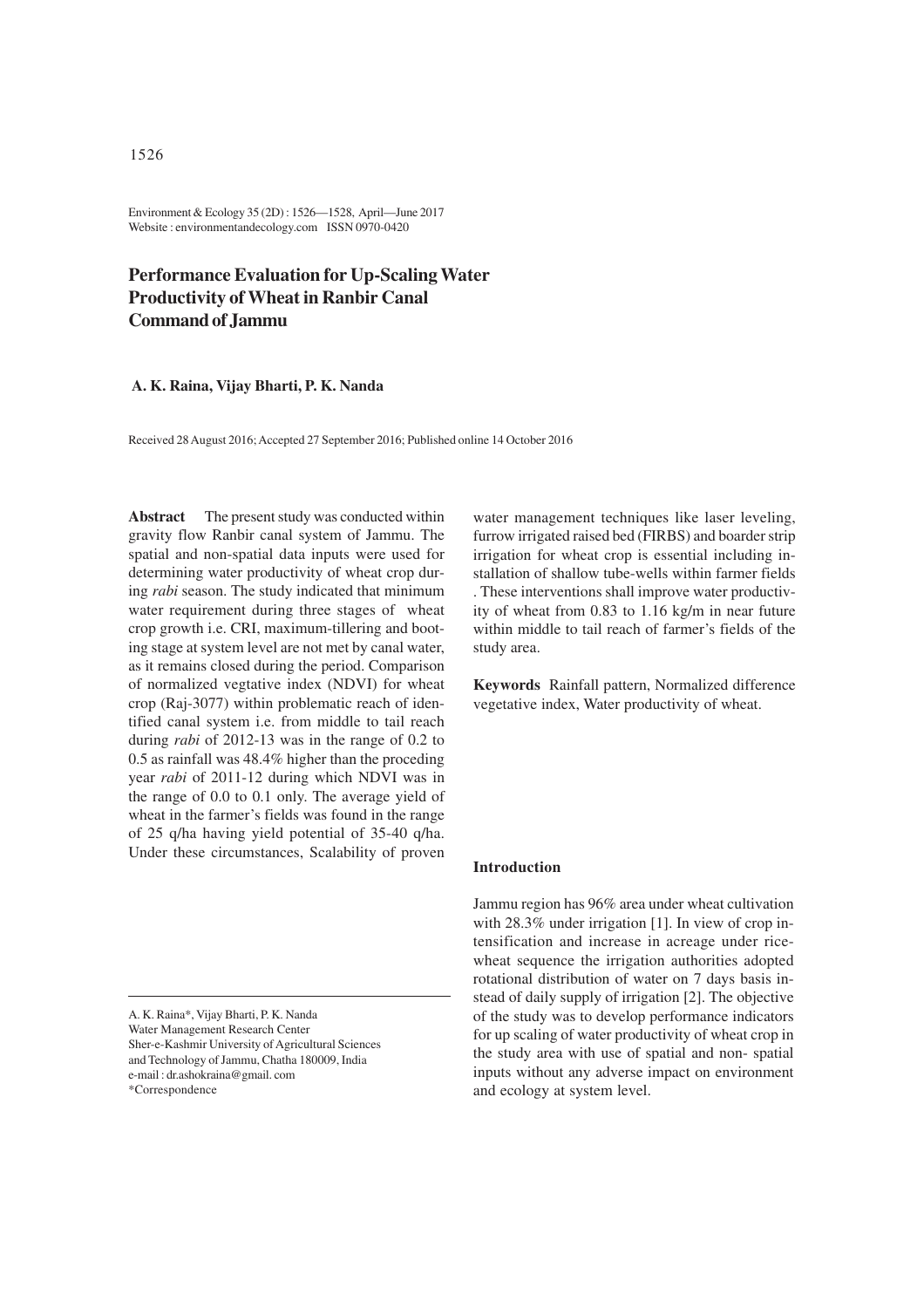Environment & Ecology 35 (2D) : 1526—1528, April—June 2017 Website : environmentandecology.com ISSN 0970-0420

# **Performance Evaluation for Up-Scaling Water Productivity of Wheat in Ranbir Canal Command of Jammu**

## **A. K. Raina, Vijay Bharti, P. K. Nanda**

Received 28 August 2016; Accepted 27 September 2016; Published online 14 October 2016

**Abstract** The present study was conducted within gravity flow Ranbir canal system of Jammu. The spatial and non-spatial data inputs were used for determining water productivity of wheat crop during *rabi* season. The study indicated that minimum water requirement during three stages of wheat crop growth i.e. CRI, maximum-tillering and booting stage at system level are not met by canal water, as it remains closed during the period. Comparison of normalized vegtative index (NDVI) for wheat crop (Raj-3077) within problematic reach of identified canal system i.e. from middle to tail reach during *rabi* of 2012-13 was in the range of 0.2 to 0.5 as rainfall was 48.4% higher than the proceding year *rabi* of 2011-12 during which NDVI was in the range of 0.0 to 0.1 only. The average yield of wheat in the farmer's fields was found in the range of 25 q/ha having yield potential of 35-40 q/ha. Under these circumstances, Scalability of proven

A. K. Raina\*, Vijay Bharti, P. K. Nanda Water Management Research Center Sher-e-Kashmir University of Agricultural Sciences and Technology of Jammu, Chatha 180009, India e-mail : dr.ashokraina@gmail. com \*Correspondence

water management techniques like laser leveling, furrow irrigated raised bed (FIRBS) and boarder strip irrigation for wheat crop is essential including installation of shallow tube-wells within farmer fields . These interventions shall improve water productivity of wheat from 0.83 to 1.16 kg/m in near future within middle to tail reach of farmer's fields of the study area.

**Keywords** Rainfall pattern, Normalized difference vegetative index, Water productivity of wheat.

## **Introduction**

Jammu region has 96% area under wheat cultivation with 28.3% under irrigation [1]. In view of crop intensification and increase in acreage under ricewheat sequence the irrigation authorities adopted rotational distribution of water on 7 days basis instead of daily supply of irrigation [2]. The objective of the study was to develop performance indicators for up scaling of water productivity of wheat crop in the study area with use of spatial and non- spatial inputs without any adverse impact on environment and ecology at system level.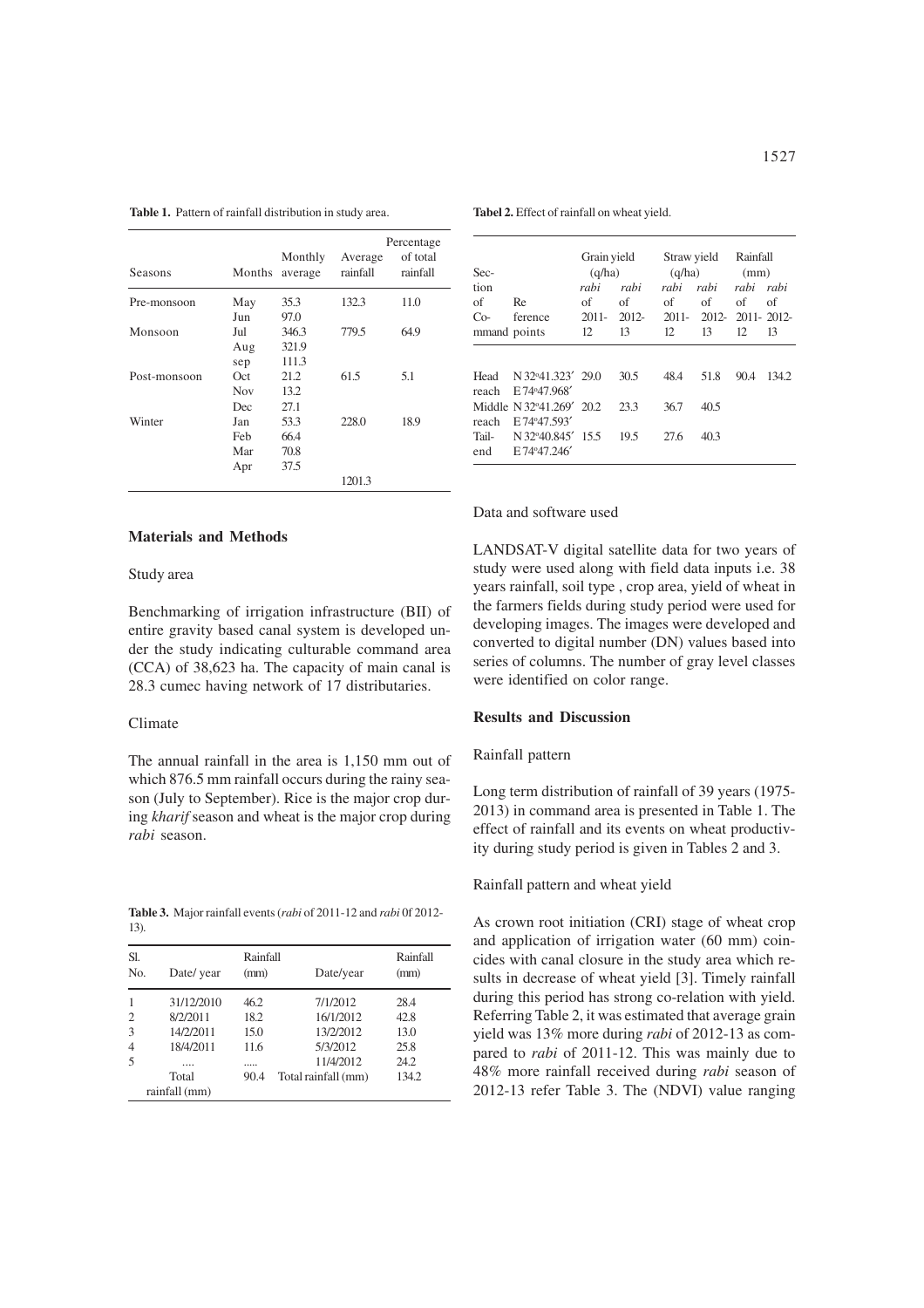| Seasons      | Months     | Monthly<br>average | Average<br>rainfall | Percentage<br>of total<br>rainfall |
|--------------|------------|--------------------|---------------------|------------------------------------|
| Pre-monsoon  | May        | 35.3               | 132.3               | 11.0                               |
|              | Jun        | 97.0               |                     |                                    |
| Monsoon      | Jul        | 346.3              | 779.5               | 64.9                               |
|              | Aug        | 321.9              |                     |                                    |
|              | sep        | 111.3              |                     |                                    |
| Post-monsoon | Oct        | 21.2               | 61.5                | 5.1                                |
|              | <b>Nov</b> | 13.2               |                     |                                    |
|              | Dec        | 27.1               |                     |                                    |
| Winter       | Jan        | 53.3               | 228.0               | 18.9                               |
|              | Feb        | 66.4               |                     |                                    |
|              | Mar        | 70.8               |                     |                                    |
|              | Apr        | 37.5               |                     |                                    |
|              |            |                    | 1201.3              |                                    |

**Table 1.** Pattern of rainfall distribution in study area.

## **Materials and Methods**

## Study area

Benchmarking of irrigation infrastructure (BII) of entire gravity based canal system is developed under the study indicating culturable command area (CCA) of 38,623 ha. The capacity of main canal is 28.3 cumec having network of 17 distributaries.

## Climate

The annual rainfall in the area is 1,150 mm out of which 876.5 mm rainfall occurs during the rainy season (July to September). Rice is the major crop during *kharif* season and wheat is the major crop during *rabi* season.

**Table 3.** Major rainfall events (*rabi* of 2011-12 and *rabi* 0f 2012- 13).

| Sl.<br>No.     | Date/ year    | Rainfall<br>(mm) | Date/year           | Rainfall<br>(mm) |
|----------------|---------------|------------------|---------------------|------------------|
|                |               |                  |                     |                  |
| $\mathbf{1}$   | 31/12/2010    | 46.2             | 7/1/2012            | 28.4             |
| $\overline{c}$ | 8/2/2011      | 18.2             | 16/1/2012           | 42.8             |
| 3              | 14/2/2011     | 15.0             | 13/2/2012           | 13.0             |
| $\overline{4}$ | 18/4/2011     | 11.6             | 5/3/2012            | 25.8             |
| 5              |               |                  | 11/4/2012           | 24.2             |
|                | Total         | 90.4             | Total rainfall (mm) | 134.2            |
|                | rainfall (mm) |                  |                     |                  |

**Tabel 2.** Effect of rainfall on wheat yield.

| Sec-                                   |                                                                                                                | Grain yield<br>(q/ha) |                      | Straw yield<br>(q/ha) |                      | Rainfall<br>(mm) |       |
|----------------------------------------|----------------------------------------------------------------------------------------------------------------|-----------------------|----------------------|-----------------------|----------------------|------------------|-------|
| tion                                   |                                                                                                                | rabi                  | rahi                 | rabi                  | rabi                 | rabi rabi        |       |
| of                                     | Re                                                                                                             | of                    | of                   | of                    | of                   | of               | of    |
| Co-                                    | ference                                                                                                        | $2011 -$              | $2012 -$             | 2011-                 |                      | 2012-2011-2012-  |       |
| mmand points                           |                                                                                                                | 12                    | 13                   | 12                    | 13                   | 12.              | 13    |
| Head<br>reach<br>reach<br>Tail-<br>end | N 32°41.323' 29.0<br>E74°47.968'<br>Middle N32°41.269' 20.2<br>E 74°47.593'<br>N 32°40.845' 15.5<br>E74°47.246 |                       | 30.5<br>23.3<br>19.5 | 48.4<br>36.7<br>27.6  | 51.8<br>40.5<br>40.3 | 90.4             | 134.2 |

#### Data and software used

LANDSAT-V digital satellite data for two years of study were used along with field data inputs i.e. 38 years rainfall, soil type , crop area, yield of wheat in the farmers fields during study period were used for developing images. The images were developed and converted to digital number (DN) values based into series of columns. The number of gray level classes were identified on color range.

## **Results and Discussion**

# Rainfall pattern

Long term distribution of rainfall of 39 years (1975- 2013) in command area is presented in Table 1. The effect of rainfall and its events on wheat productivity during study period is given in Tables 2 and 3.

#### Rainfall pattern and wheat yield

As crown root initiation (CRI) stage of wheat crop and application of irrigation water (60 mm) coincides with canal closure in the study area which results in decrease of wheat yield [3]. Timely rainfall during this period has strong co-relation with yield. Referring Table 2, it was estimated that average grain yield was 13% more during *rabi* of 2012-13 as compared to *rabi* of 2011-12. This was mainly due to 48% more rainfall received during *rabi* season of 2012-13 refer Table 3. The (NDVI) value ranging